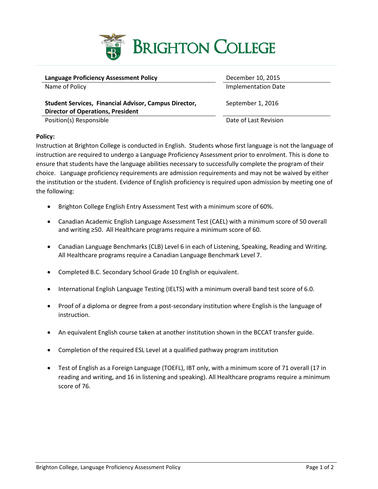

| <b>Language Proficiency Assessment Policy</b>                                                            | December 10, 2015          |
|----------------------------------------------------------------------------------------------------------|----------------------------|
| Name of Policy                                                                                           | <b>Implementation Date</b> |
| <b>Student Services, Financial Advisor, Campus Director,</b><br><b>Director of Operations, President</b> | September 1, 2016          |
| Position(s) Responsible                                                                                  | Date of Last Revision      |

## **Policy:**

Instruction at Brighton College is conducted in English. Students whose first language is not the language of instruction are required to undergo a Language Proficiency Assessment prior to enrolment. This is done to ensure that students have the language abilities necessary to successfully complete the program of their choice. Language proficiency requirements are admission requirements and may not be waived by either the institution or the student. Evidence of English proficiency is required upon admission by meeting one of the following:

- Brighton College English Entry Assessment Test with a minimum score of 60%.
- Canadian Academic English Language Assessment Test (CAEL) with a minimum score of 50 overall and writing ≥50. All Healthcare programs require a minimum score of 60.
- Canadian Language Benchmarks (CLB) Level 6 in each of Listening, Speaking, Reading and Writing. All Healthcare programs require a Canadian Language Benchmark Level 7.
- Completed B.C. Secondary School Grade 10 English or equivalent.
- International English Language Testing (IELTS) with a minimum overall band test score of 6.0.
- Proof of a diploma or degree from a post-secondary institution where English is the language of instruction.
- An equivalent English course taken at another institution shown in the BCCAT transfer guide.
- Completion of the required ESL Level at a qualified pathway program institution
- Test of English as a Foreign Language (TOEFL), IBT only, with a minimum score of 71 overall (17 in reading and writing, and 16 in listening and speaking). All Healthcare programs require a minimum score of 76.